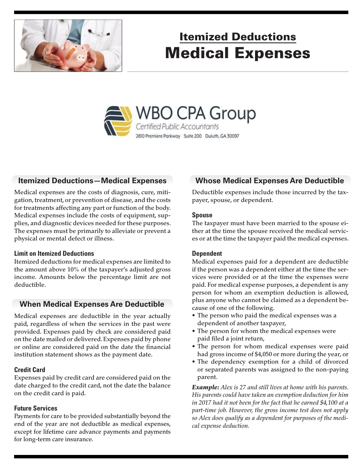

# Itemized Deductions Medical Expenses



# **Itemized Deductions—Medical Expenses**

Medical expenses are the costs of diagnosis, cure, mitigation, treatment, or prevention of disease, and the costs for treatments affecting any part or function of the body. Medical expenses include the costs of equipment, supplies, and diagnostic devices needed for these purposes. The expenses must be primarily to alleviate or prevent a physical or mental defect or illness.

#### **Limit on Itemized Deductions**

Itemized deductions for medical expenses are limited to the amount above 10% of the taxpayer's adjusted gross income. Amounts below the percentage limit are not deductible.

# **When Medical Expenses Are Deductible**

Medical expenses are deductible in the year actually paid, regardless of when the services in the past were provided. Expenses paid by check are considered paid on the date mailed or delivered. Expenses paid by phone or online are considered paid on the date the financial institution statement shows as the payment date.

### **Credit Card**

Expenses paid by credit card are considered paid on the date charged to the credit card, not the date the balance on the credit card is paid.

### **Future Services**

Payments for care to be provided substantially beyond the end of the year are not deductible as medical expenses, except for lifetime care advance payments and payments for long-term care insurance.

# **Whose Medical Expenses Are Deductible**

Deductible expenses include those incurred by the taxpayer, spouse, or dependent.

#### **Spouse**

The taxpayer must have been married to the spouse either at the time the spouse received the medical services or at the time the taxpayer paid the medical expenses.

### **Dependent**

Medical expenses paid for a dependent are deductible if the person was a dependent either at the time the services were provided or at the time the expenses were paid. For medical expense purposes, a dependent is any person for whom an exemption deduction is allowed, plus anyone who cannot be claimed as a dependent because of one of the following.

- The person who paid the medical expenses was a dependent of another taxpayer,
- The person for whom the medical expenses were paid filed a joint return,
- The person for whom medical expenses were paid had gross income of \$4,050 or more during the year, or
- The dependency exemption for a child of divorced or separated parents was assigned to the non-paying parent.

*Example: Alex is 27 and still lives at home with his parents. His parents could have taken an exemption deduction for him in 2017 had it not been for the fact that he earned \$4,100 at a part-time job. However, the gross income test does not apply so Alex does qualify as a dependent for purposes of the medical expense deduction.*